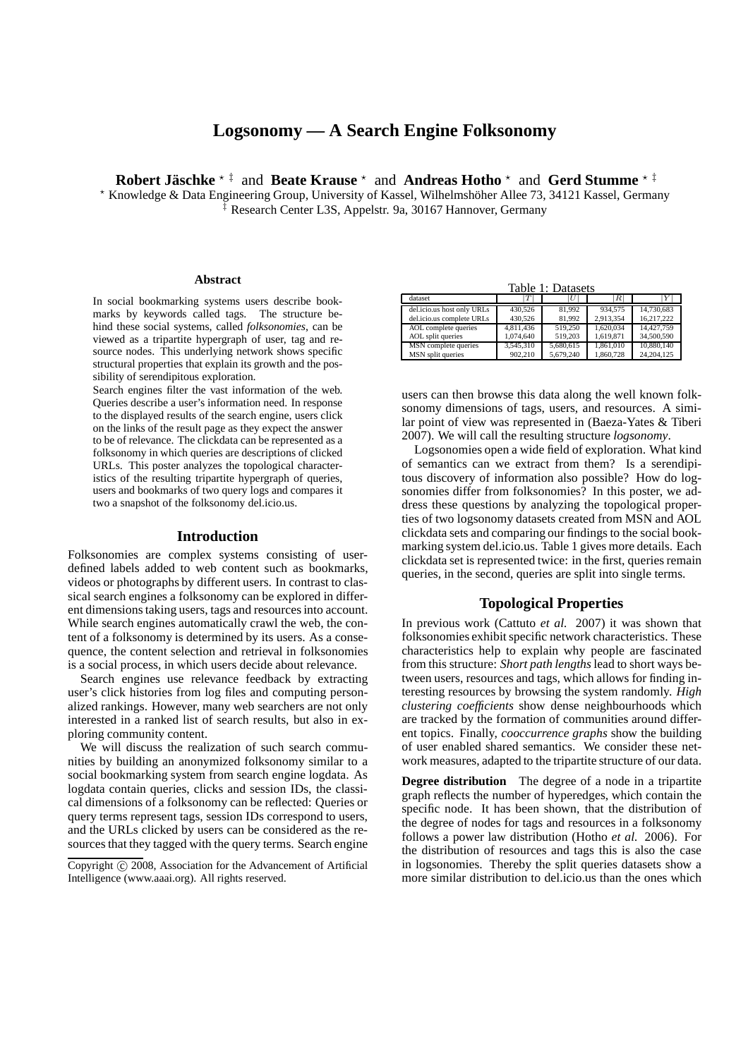# **Logsonomy — A Search Engine Folksonomy**

**Robert Jäschke** \* <sup>‡</sup> and **Beate Krause** \* and **Andreas Hotho** \* and **Gerd Stumme** \* <sup>‡</sup>

\* Knowledge & Data Engineering Group, University of Kassel, Wilhelmshöher Allee 73, 34121 Kassel, Germany ‡ Research Center L3S, Appelstr. 9a, 30167 Hannover, Germany

#### **Abstract**

In social bookmarking systems users describe bookmarks by keywords called tags. The structure behind these social systems, called *folksonomies*, can be viewed as a tripartite hypergraph of user, tag and resource nodes. This underlying network shows specific structural properties that explain its growth and the possibility of serendipitous exploration.

Search engines filter the vast information of the web. Queries describe a user's information need. In response to the displayed results of the search engine, users click on the links of the result page as they expect the answer to be of relevance. The clickdata can be represented as a folksonomy in which queries are descriptions of clicked URLs. This poster analyzes the topological characteristics of the resulting tripartite hypergraph of queries, users and bookmarks of two query logs and compares it two a snapshot of the folksonomy del.icio.us.

#### **Introduction**

Folksonomies are complex systems consisting of userdefined labels added to web content such as bookmarks, videos or photographs by different users. In contrast to classical search engines a folksonomy can be explored in different dimensions taking users, tags and resources into account. While search engines automatically crawl the web, the content of a folksonomy is determined by its users. As a consequence, the content selection and retrieval in folksonomies is a social process, in which users decide about relevance.

Search engines use relevance feedback by extracting user's click histories from log files and computing personalized rankings. However, many web searchers are not only interested in a ranked list of search results, but also in exploring community content.

We will discuss the realization of such search communities by building an anonymized folksonomy similar to a social bookmarking system from search engine logdata. As logdata contain queries, clicks and session IDs, the classical dimensions of a folksonomy can be reflected: Queries or query terms represent tags, session IDs correspond to users, and the URLs clicked by users can be considered as the resources that they tagged with the query terms. Search engine

Table 1: Datasets

| dataset                    | $\tau$    | U         | R         |            |
|----------------------------|-----------|-----------|-----------|------------|
| del.icio.us host only URLs | 430.526   | 81.992    | 934.575   | 14.730.683 |
| del.icio.us complete URLs  | 430,526   | 81.992    | 2.913.354 | 16.217.222 |
| AOL complete queries       | 4.811.436 | 519.250   | 1.620.034 | 14.427.759 |
| AOL split queries          | 1.074.640 | 519.203   | 1.619.871 | 34,500,590 |
| MSN complete queries       | 3.545.310 | 5.680.615 | 1.861.010 | 10,880,140 |
| MSN split queries          | 902.210   | 5.679.240 | 1.860.728 | 24.204.125 |

users can then browse this data along the well known folksonomy dimensions of tags, users, and resources. A similar point of view was represented in (Baeza-Yates & Tiberi 2007). We will call the resulting structure *logsonomy*.

Logsonomies open a wide field of exploration. What kind of semantics can we extract from them? Is a serendipitous discovery of information also possible? How do logsonomies differ from folksonomies? In this poster, we address these questions by analyzing the topological properties of two logsonomy datasets created from MSN and AOL clickdata sets and comparing our findings to the social bookmarking system del.icio.us. Table 1 gives more details. Each clickdata set is represented twice: in the first, queries remain queries, in the second, queries are split into single terms.

## **Topological Properties**

In previous work (Cattuto *et al.* 2007) it was shown that folksonomies exhibit specific network characteristics. These characteristics help to explain why people are fascinated from this structure: *Short path lengths*lead to short ways between users, resources and tags, which allows for finding interesting resources by browsing the system randomly. *High clustering coefficients* show dense neighbourhoods which are tracked by the formation of communities around different topics. Finally, *cooccurrence graphs* show the building of user enabled shared semantics. We consider these network measures, adapted to the tripartite structure of our data.

**Degree distribution** The degree of a node in a tripartite graph reflects the number of hyperedges, which contain the specific node. It has been shown, that the distribution of the degree of nodes for tags and resources in a folksonomy follows a power law distribution (Hotho *et al.* 2006). For the distribution of resources and tags this is also the case in logsonomies. Thereby the split queries datasets show a more similar distribution to del.icio.us than the ones which

Copyright © 2008, Association for the Advancement of Artificial Intelligence (www.aaai.org). All rights reserved.